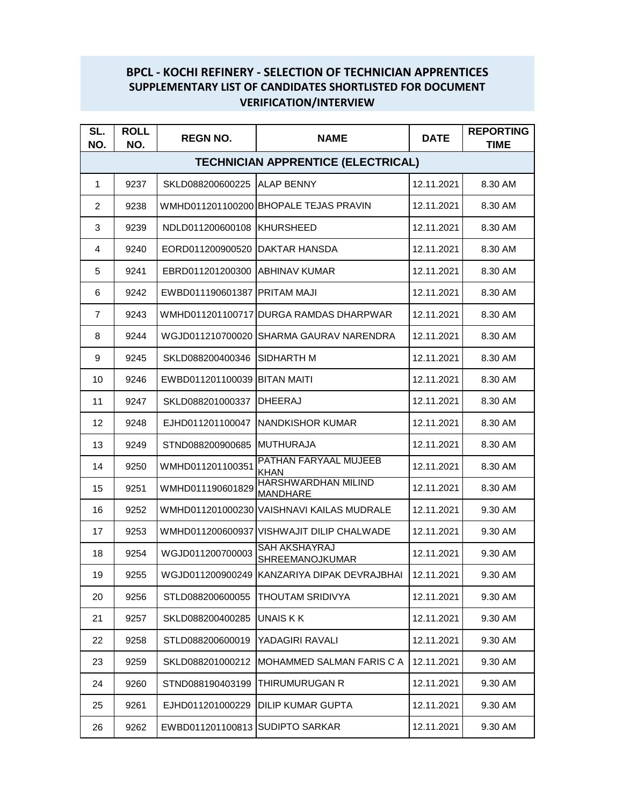## **BPCL - KOCHI REFINERY - SELECTION OF TECHNICIAN APPRENTICES SUPPLEMENTARY LIST OF CANDIDATES SHORTLISTED FOR DOCUMENT VERIFICATION/INTERVIEW**

| SL.<br>NO.                                | <b>ROLL</b><br>NO. | <b>REGN NO.</b>                 | <b>NAME</b>                                    | <b>DATE</b> | <b>REPORTING</b><br><b>TIME</b> |  |  |  |
|-------------------------------------------|--------------------|---------------------------------|------------------------------------------------|-------------|---------------------------------|--|--|--|
| <b>TECHNICIAN APPRENTICE (ELECTRICAL)</b> |                    |                                 |                                                |             |                                 |  |  |  |
| $\mathbf{1}$                              | 9237               | SKLD088200600225 ALAP BENNY     |                                                | 12.11.2021  | 8.30 AM                         |  |  |  |
| $\overline{2}$                            | 9238               |                                 | WMHD011201100200 BHOPALE TEJAS PRAVIN          | 12.11.2021  | 8.30 AM                         |  |  |  |
| 3                                         | 9239               | NDLD011200600108 KHURSHEED      |                                                | 12.11.2021  | 8.30 AM                         |  |  |  |
| 4                                         | 9240               | EORD011200900520 DAKTAR HANSDA  |                                                | 12.11.2021  | 8.30 AM                         |  |  |  |
| 5                                         | 9241               | EBRD011201200300 ABHINAV KUMAR  |                                                | 12.11.2021  | 8.30 AM                         |  |  |  |
| 6                                         | 9242               | EWBD011190601387 PRITAM MAJI    |                                                | 12.11.2021  | 8.30 AM                         |  |  |  |
| 7                                         | 9243               |                                 | WMHD011201100717 DURGA RAMDAS DHARPWAR         | 12.11.2021  | 8.30 AM                         |  |  |  |
| 8                                         | 9244               |                                 | WGJD011210700020 SHARMA GAURAV NARENDRA        | 12.11.2021  | 8.30 AM                         |  |  |  |
| 9                                         | 9245               | SKLD088200400346                | <b>SIDHARTH M</b>                              | 12.11.2021  | 8.30 AM                         |  |  |  |
| 10                                        | 9246               | EWBD011201100039 BITAN MAITI    |                                                | 12.11.2021  | 8.30 AM                         |  |  |  |
| 11                                        | 9247               | SKLD088201000337                | <b>DHEERAJ</b>                                 | 12.11.2021  | 8.30 AM                         |  |  |  |
| 12                                        | 9248               | EJHD011201100047                | <b>NANDKISHOR KUMAR</b>                        | 12.11.2021  | 8.30 AM                         |  |  |  |
| 13                                        | 9249               | STND088200900685 MUTHURAJA      |                                                | 12.11.2021  | 8.30 AM                         |  |  |  |
| 14                                        | 9250               | WMHD011201100351                | PATHAN FARYAAL MUJEEB<br><b>KHAN</b>           | 12.11.2021  | 8.30 AM                         |  |  |  |
| 15                                        | 9251               | WMHD011190601829                | <b>HARSHWARDHAN MILIND</b><br><b>MANDHARE</b>  | 12.11.2021  | 8.30 AM                         |  |  |  |
| 16                                        | 9252               | WMHD011201000230                | <b>VAISHNAVI KAILAS MUDRALE</b>                | 12.11.2021  | 9.30 AM                         |  |  |  |
| 17                                        | 9253               |                                 | WMHD011200600937 VISHWAJIT DILIP CHALWADE      | 12.11.2021  | 9.30 AM                         |  |  |  |
| 18                                        | 9254               | WGJD011200700003                | <b>SAH AKSHAYRAJ</b><br><b>SHREEMANOJKUMAR</b> | 12.11.2021  | 9.30 AM                         |  |  |  |
| 19                                        | 9255               |                                 | WGJD011200900249 KANZARIYA DIPAK DEVRAJBHAI    | 12.11.2021  | 9.30 AM                         |  |  |  |
| 20                                        | 9256               | STLD088200600055                | THOUTAM SRIDIVYA                               | 12.11.2021  | 9.30 AM                         |  |  |  |
| 21                                        | 9257               | SKLD088200400285                | UNAIS K K                                      | 12.11.2021  | 9.30 AM                         |  |  |  |
| 22                                        | 9258               | STLD088200600019                | YADAGIRI RAVALI                                | 12.11.2021  | 9.30 AM                         |  |  |  |
| 23                                        | 9259               | SKLD088201000212                | MOHAMMED SALMAN FARIS C A                      | 12.11.2021  | 9.30 AM                         |  |  |  |
| 24                                        | 9260               | STND088190403199                | THIRUMURUGAN R                                 | 12.11.2021  | 9.30 AM                         |  |  |  |
| 25                                        | 9261               | EJHD011201000229                | <b>DILIP KUMAR GUPTA</b>                       | 12.11.2021  | 9.30 AM                         |  |  |  |
| 26                                        | 9262               | EWBD011201100813 SUDIPTO SARKAR |                                                | 12.11.2021  | 9.30 AM                         |  |  |  |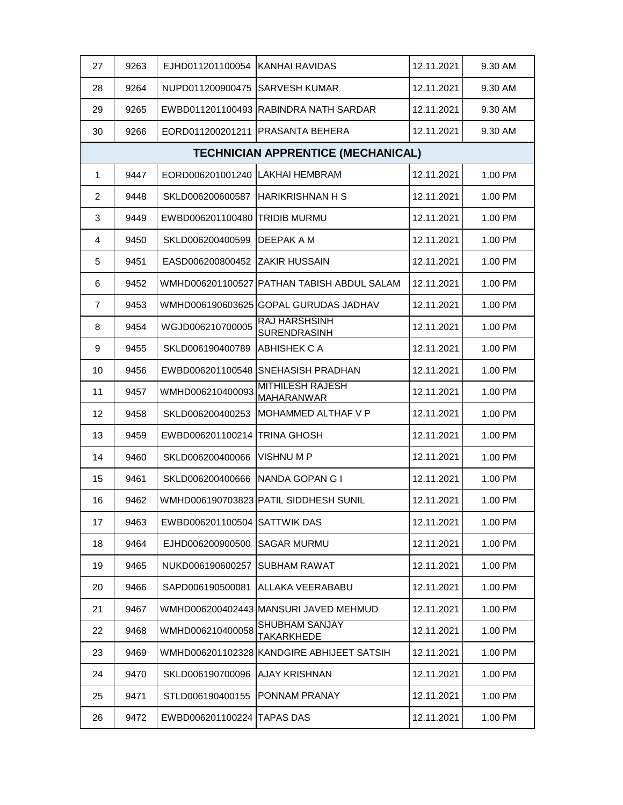| 27             | 9263                                      | EJHD011201100054 KANHAI RAVIDAS |                                              | 12.11.2021 | 9.30 AM |  |  |  |
|----------------|-------------------------------------------|---------------------------------|----------------------------------------------|------------|---------|--|--|--|
| 28             | 9264                                      | NUPD011200900475                | <b>SARVESH KUMAR</b>                         | 12.11.2021 | 9.30 AM |  |  |  |
| 29             | 9265                                      |                                 | EWBD011201100493 RABINDRA NATH SARDAR        | 12.11.2021 | 9.30 AM |  |  |  |
| 30             | 9266                                      |                                 | EORD011200201211 PRASANTA BEHERA             | 12.11.2021 | 9.30 AM |  |  |  |
|                | <b>TECHNICIAN APPRENTICE (MECHANICAL)</b> |                                 |                                              |            |         |  |  |  |
| 1              | 9447                                      | EORD006201001240 LAKHAI HEMBRAM |                                              | 12.11.2021 | 1.00 PM |  |  |  |
| 2              | 9448                                      | SKLD006200600587                | <b>HARIKRISHNAN H S</b>                      | 12.11.2021 | 1.00 PM |  |  |  |
| 3              | 9449                                      | EWBD006201100480 TRIDIB MURMU   |                                              | 12.11.2021 | 1.00 PM |  |  |  |
| 4              | 9450                                      | SKLD006200400599                | DEEPAK A M                                   | 12.11.2021 | 1.00 PM |  |  |  |
| 5              | 9451                                      | EASD006200800452                | <b>ZAKIR HUSSAIN</b>                         | 12.11.2021 | 1.00 PM |  |  |  |
| 6              | 9452                                      | WMHD006201100527                | PATHAN TABISH ABDUL SALAM                    | 12.11.2021 | 1.00 PM |  |  |  |
| $\overline{7}$ | 9453                                      |                                 | WMHD006190603625 GOPAL GURUDAS JADHAV        | 12.11.2021 | 1.00 PM |  |  |  |
| 8              | 9454                                      | WGJD006210700005                | <b>RAJ HARSHSINH</b><br><b>SURENDRASINH</b>  | 12.11.2021 | 1.00 PM |  |  |  |
| 9              | 9455                                      | SKLD006190400789                | <b>ABHISHEK C A</b>                          | 12.11.2021 | 1.00 PM |  |  |  |
| 10             | 9456                                      |                                 | EWBD006201100548 SNEHASISH PRADHAN           | 12.11.2021 | 1.00 PM |  |  |  |
| 11             | 9457                                      | WMHD006210400093                | <b>MITHILESH RAJESH</b><br><b>MAHARANWAR</b> | 12.11.2021 | 1.00 PM |  |  |  |
| 12             | 9458                                      | SKLD006200400253                | MOHAMMED ALTHAF V P                          | 12.11.2021 | 1.00 PM |  |  |  |
| 13             | 9459                                      | EWBD006201100214                | <b>TRINA GHOSH</b>                           | 12.11.2021 | 1.00 PM |  |  |  |
| 14             | 9460                                      | SKLD006200400066                | <b>VISHNU M P</b>                            | 12.11.2021 | 1.00 PM |  |  |  |
| 15             | 9461                                      | SKLD006200400666                | NANDA GOPAN G I                              | 12.11.2021 | 1.00 PM |  |  |  |
| 16             | 9462                                      |                                 | WMHD006190703823 PATIL SIDDHESH SUNIL        | 12.11.2021 | 1.00 PM |  |  |  |
| 17             | 9463                                      | EWBD006201100504 SATTWIK DAS    |                                              | 12.11.2021 | 1.00 PM |  |  |  |
| 18             | 9464                                      | EJHD006200900500                | <b>SAGAR MURMU</b>                           | 12.11.2021 | 1.00 PM |  |  |  |
| 19             | 9465                                      | NUKD006190600257                | <b>SUBHAM RAWAT</b>                          | 12.11.2021 | 1.00 PM |  |  |  |
| 20             | 9466                                      | SAPD006190500081                | ALLAKA VEERABABU                             | 12.11.2021 | 1.00 PM |  |  |  |
| 21             | 9467                                      |                                 | WMHD006200402443 MANSURI JAVED MEHMUD        | 12.11.2021 | 1.00 PM |  |  |  |
| 22             | 9468                                      | WMHD006210400058                | SHUBHAM SANJAY<br>TAKARKHEDE                 | 12.11.2021 | 1.00 PM |  |  |  |
| 23             | 9469                                      |                                 | WMHD006201102328 KANDGIRE ABHIJEET SATSIH    | 12.11.2021 | 1.00 PM |  |  |  |
| 24             | 9470                                      | SKLD006190700096                | <b>AJAY KRISHNAN</b>                         | 12.11.2021 | 1.00 PM |  |  |  |
| 25             | 9471                                      | STLD006190400155                | PONNAM PRANAY                                | 12.11.2021 | 1.00 PM |  |  |  |
| 26             | 9472                                      | EWBD006201100224                | <b>TAPAS DAS</b>                             | 12.11.2021 | 1.00 PM |  |  |  |